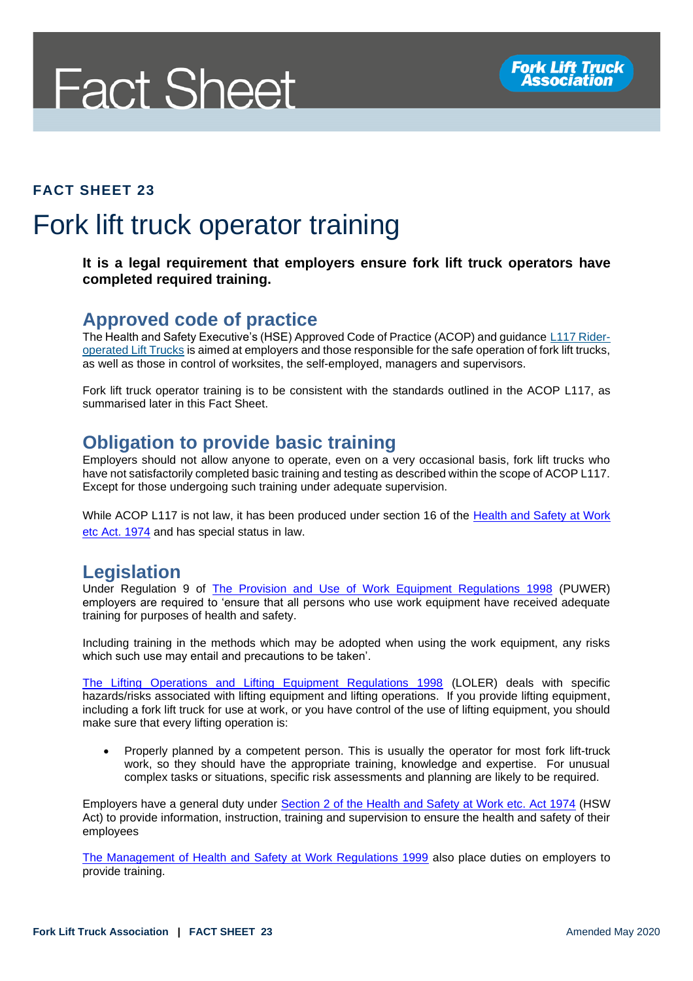# **Fact Sheet**

#### **FACT SHEET 23**

# Fork lift truck operator training

#### **It is a legal requirement that employers ensure fork lift truck operators have completed required training.**

#### **Approved code of practice**

The Health and Safety Executive's (HSE) Approved Code of Practice (ACOP) and guidance [L117 Rider](http://www.hse.gov.uk/pUbns/priced/l117.pdf)[operated Lift Trucks](http://www.hse.gov.uk/pUbns/priced/l117.pdf) is aimed at employers and those responsible for the safe operation of fork lift trucks, as well as those in control of worksites, the self-employed, managers and supervisors.

Fork lift truck operator training is to be consistent with the standards outlined in the ACOP L117, as summarised later in this Fact Sheet.

#### **Obligation to provide basic training**

Employers should not allow anyone to operate, even on a very occasional basis, fork lift trucks who have not satisfactorily completed basic training and testing as described within the scope of ACOP L117. Except for those undergoing such training under adequate supervision.

While ACOP L117 is not law, it has been produced under section 16 of the Health and Safety at Work [etc Act. 1974](http://www.legislation.gov.uk/ukpga/1974/37/section/16) and has special status in law.

#### **Legislation**

Under Regulation 9 of [The Provision and Use of Work Equipment Regulations 1998](http://www.legislation.gov.uk/uksi/1998/2306/regulation/9/made) (PUWER) employers are required to 'ensure that all persons who use work equipment have received adequate training for purposes of health and safety.

Including training in the methods which may be adopted when using the work equipment, any risks which such use may entail and precautions to be taken'.

[The Lifting Operations and Lifting Equipment Regulations 1998](http://www.legislation.gov.uk/uksi/1998/2307/contents/made) (LOLER) deals with specific hazards/risks associated with lifting equipment and lifting operations. If you provide lifting equipment, including a fork lift truck for use at work, or you have control of the use of lifting equipment, you should make sure that every lifting operation is:

• Properly planned by a competent person. This is usually the operator for most fork lift-truck work, so they should have the appropriate training, knowledge and expertise. For unusual complex tasks or situations, specific risk assessments and planning are likely to be required.

Employers have a general duty under [Section 2 of the Health and Safety at Work etc. Act 1974](http://www.legislation.gov.uk/ukpga/1974/37/section/2) (HSW Act) to provide information, instruction, training and supervision to ensure the health and safety of their employees

[The Management of Health and Safety at Work Regulations 1999](http://www.legislation.gov.uk/uksi/1999/3242/contents/made) also place duties on employers to provide training.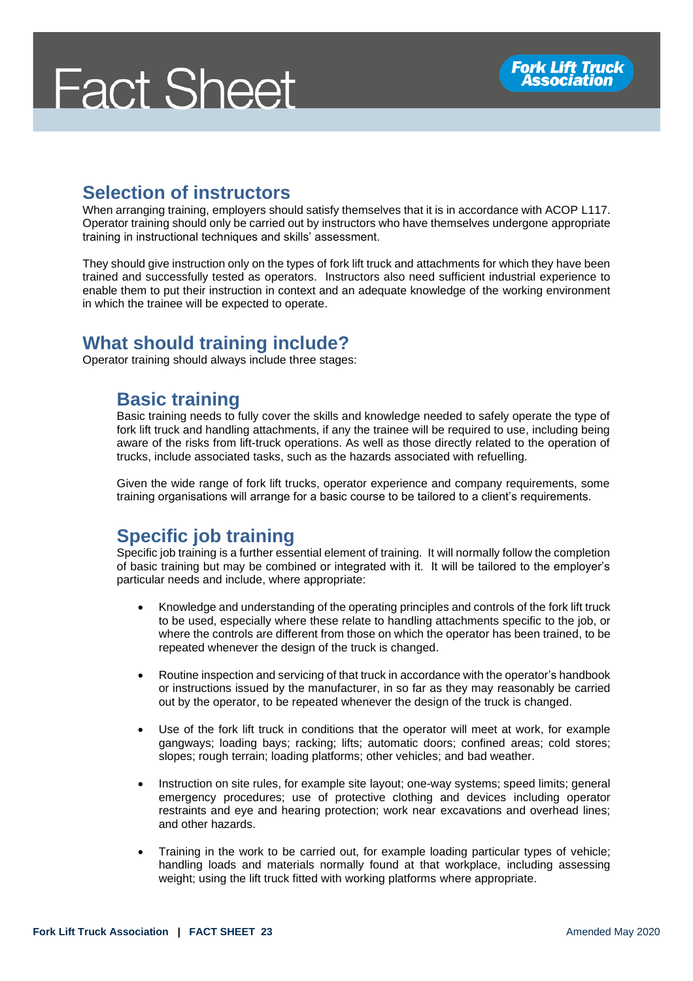# **Fact Sheet**

### **Selection of instructors**

When arranging training, employers should satisfy themselves that it is in accordance with ACOP L117. Operator training should only be carried out by instructors who have themselves undergone appropriate training in instructional techniques and skills' assessment.

They should give instruction only on the types of fork lift truck and attachments for which they have been trained and successfully tested as operators. Instructors also need sufficient industrial experience to enable them to put their instruction in context and an adequate knowledge of the working environment in which the trainee will be expected to operate.

#### **What should training include?**

Operator training should always include three stages:

#### **Basic training**

Basic training needs to fully cover the skills and knowledge needed to safely operate the type of fork lift truck and handling attachments, if any the trainee will be required to use, including being aware of the risks from lift-truck operations. As well as those directly related to the operation of trucks, include associated tasks, such as the hazards associated with refuelling.

Given the wide range of fork lift trucks, operator experience and company requirements, some training organisations will arrange for a basic course to be tailored to a client's requirements.

### **Specific job training**

Specific job training is a further essential element of training. It will normally follow the completion of basic training but may be combined or integrated with it. It will be tailored to the employer's particular needs and include, where appropriate:

- Knowledge and understanding of the operating principles and controls of the fork lift truck to be used, especially where these relate to handling attachments specific to the job, or where the controls are different from those on which the operator has been trained, to be repeated whenever the design of the truck is changed.
- Routine inspection and servicing of that truck in accordance with the operator's handbook or instructions issued by the manufacturer, in so far as they may reasonably be carried out by the operator, to be repeated whenever the design of the truck is changed.
- Use of the fork lift truck in conditions that the operator will meet at work, for example gangways; loading bays; racking; lifts; automatic doors; confined areas; cold stores; slopes; rough terrain; loading platforms; other vehicles; and bad weather.
- Instruction on site rules, for example site layout; one-way systems; speed limits; general emergency procedures; use of protective clothing and devices including operator restraints and eye and hearing protection; work near excavations and overhead lines; and other hazards.
- Training in the work to be carried out, for example loading particular types of vehicle; handling loads and materials normally found at that workplace, including assessing weight; using the lift truck fitted with working platforms where appropriate.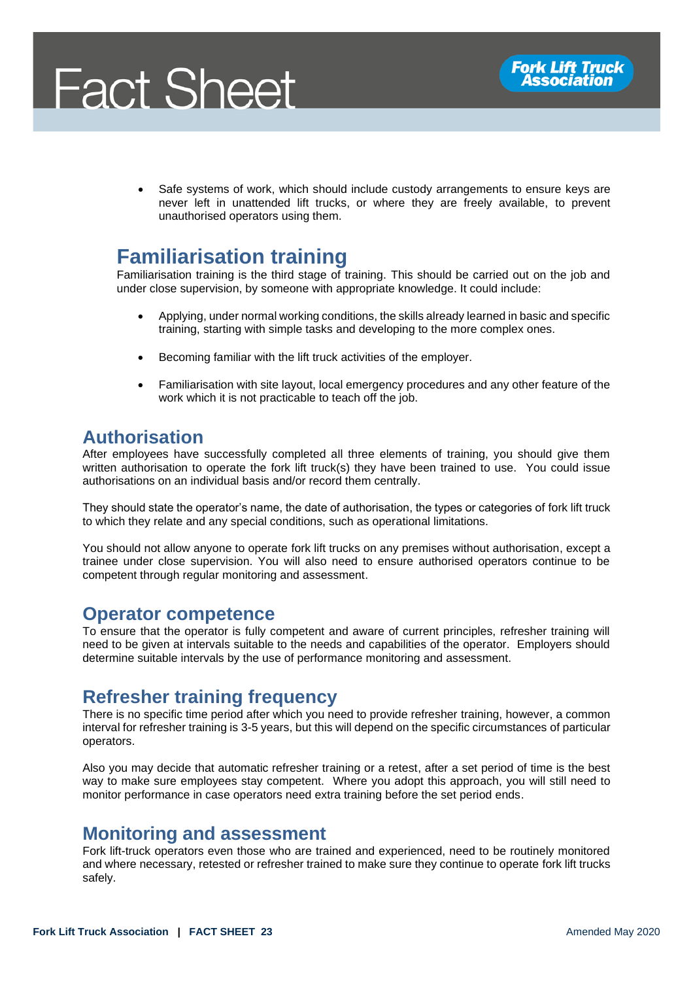

Safe systems of work, which should include custody arrangements to ensure keys are never left in unattended lift trucks, or where they are freely available, to prevent unauthorised operators using them.

## **Familiarisation training**

Familiarisation training is the third stage of training. This should be carried out on the job and under close supervision, by someone with appropriate knowledge. It could include:

- Applying, under normal working conditions, the skills already learned in basic and specific training, starting with simple tasks and developing to the more complex ones.
- Becoming familiar with the lift truck activities of the employer.
- Familiarisation with site layout, local emergency procedures and any other feature of the work which it is not practicable to teach off the job.

#### **Authorisation**

After employees have successfully completed all three elements of training, you should give them written authorisation to operate the fork lift truck(s) they have been trained to use. You could issue authorisations on an individual basis and/or record them centrally.

They should state the operator's name, the date of authorisation, the types or categories of fork lift truck to which they relate and any special conditions, such as operational limitations.

You should not allow anyone to operate fork lift trucks on any premises without authorisation, except a trainee under close supervision. You will also need to ensure authorised operators continue to be competent through regular monitoring and assessment.

#### **Operator competence**

To ensure that the operator is fully competent and aware of current principles, refresher training will need to be given at intervals suitable to the needs and capabilities of the operator. Employers should determine suitable intervals by the use of performance monitoring and assessment.

#### **Refresher training frequency**

There is no specific time period after which you need to provide refresher training, however, a common interval for refresher training is 3-5 years, but this will depend on the specific circumstances of particular operators.

Also you may decide that automatic refresher training or a retest, after a set period of time is the best way to make sure employees stay competent. Where you adopt this approach, you will still need to monitor performance in case operators need extra training before the set period ends.

#### **Monitoring and assessment**

Fork lift-truck operators even those who are trained and experienced, need to be routinely monitored and where necessary, retested or refresher trained to make sure they continue to operate fork lift trucks safely.